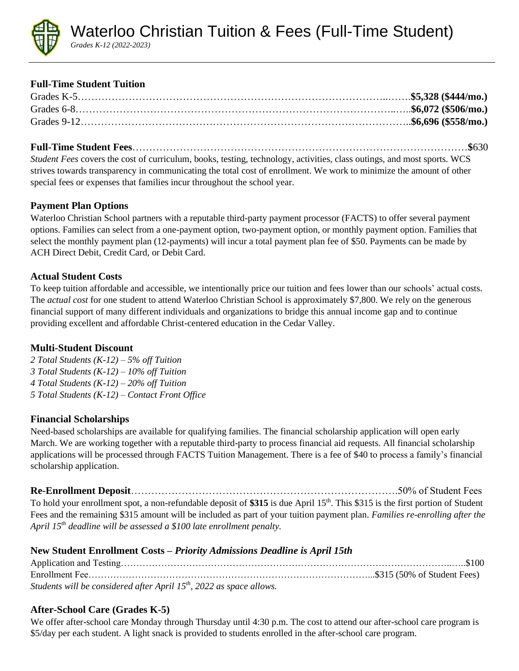

# **Full-Time Student Tuition**

**Full-Time Student Fees**………………………………………………………………………………………**\$**630

*Student Fees* covers the cost of curriculum, books, testing, technology, activities, class outings, and most sports. WCS strives towards transparency in communicating the total cost of enrollment. We work to minimize the amount of other special fees or expenses that families incur throughout the school year.

# **Payment Plan Options**

Waterloo Christian School partners with a reputable third-party payment processor (FACTS) to offer several payment options. Families can select from a one-payment option, two-payment option, or monthly payment option. Families that select the monthly payment plan (12-payments) will incur a total payment plan fee of \$50. Payments can be made by ACH Direct Debit, Credit Card, or Debit Card.

## **Actual Student Costs**

To keep tuition affordable and accessible, we intentionally price our tuition and fees lower than our schools' actual costs. The *actual cost* for one student to attend Waterloo Christian School is approximately \$7,800. We rely on the generous financial support of many different individuals and organizations to bridge this annual income gap and to continue providing excellent and affordable Christ-centered education in the Cedar Valley.

## **Multi-Student Discount**

*2 Total Students (K-12) – 5% off Tuition 3 Total Students (K-12) – 10% off Tuition 4 Total Students (K-12) – 20% off Tuition 5 Total Students (K-12) – Contact Front Office*

## **Financial Scholarships**

Need-based scholarships are available for qualifying families. The financial scholarship application will open early March. We are working together with a reputable third-party to process financial aid requests. All financial scholarship applications will be processed through FACTS Tuition Management. There is a fee of \$40 to process a family's financial scholarship application.

**Re-Enrollment Deposit**…………………………………………………………………….50% of Student Fees To hold your enrollment spot, a non-refundable deposit of \$315 is due April 15<sup>th</sup>. This \$315 is the first portion of Student Fees and the remaining \$315 amount will be included as part of your tuition payment plan. *Families re-enrolling after the April 15th deadline will be assessed a \$100 late enrollment penalty.*

## **New Student Enrollment Costs** *– Priority Admissions Deadline is April 15th*

| Students will be considered after April $15th$ , 2022 as space allows. |  |
|------------------------------------------------------------------------|--|

# **After-School Care (Grades K-5)**

We offer after-school care Monday through Thursday until 4:30 p.m. The cost to attend our after-school care program is \$5/day per each student. A light snack is provided to students enrolled in the after-school care program.